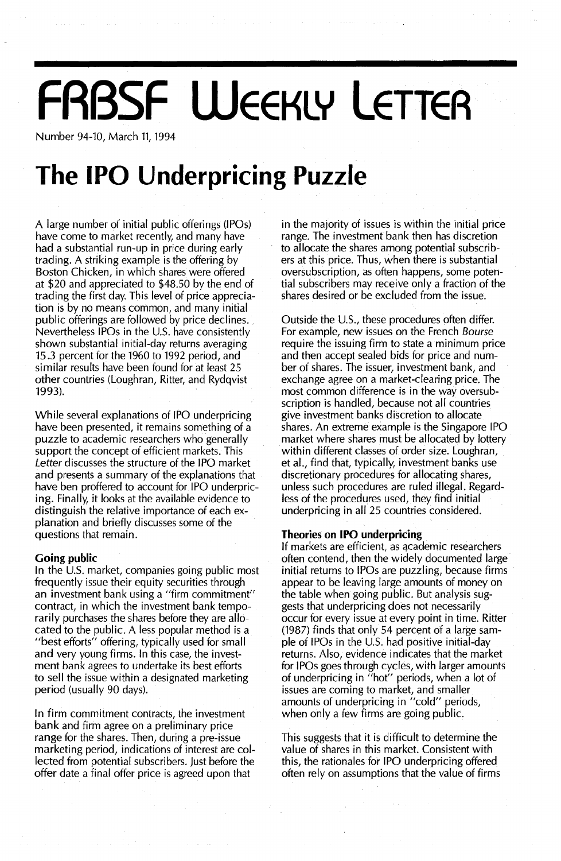# **FRBSF WEEKLY LETTEA**

Number 94-10, March 11, 1994

## **The IPO Underpricing Puzzle**

A large number of initial public offerings (IPOs) have come to market recently, and many have had a substantial run-up in price during early trading. A striking example is the offering by Boston Chicken, in which shares were offered at \$20 and appreciated to \$48.50 by the end of trading the first day. This level of price appreciation is by no means common, and many initial public offerings are followed by price declines. Nevertheless IPOs in the U.S. have consistently shown substantial initial-day returns averaging 15.3 percent for the 1960 to 1992 period, and similar results have been found for at least 25 other countries (Loughran, Ritter, and Rydqvist 1993).

While several explanations of IPO underpricing have been presented, it remains something of a puzzle to academic researchers who generally support the concept of efficient markets. This Letter discusses the structure of the IPO market and presents a summary of the explanations that have ben proffered to account for IPO underpricing. Finally, it looks at the available evidence to distinguish the relative importance of each explanation and briefly discusses some of the questions that remain.

### **Going public**

In the U.S. market, companies going public most frequently issue their equity securities through an investment bank using a "firm commitment" contract, in which the investment bank temporarily purchases the shares before they are allocated to the public. A less popular method is a "best efforts" offering, typically used for small and very young firms. In this case, the investment bank agrees to undertake its best efforts to sell the issue within a designated marketing period (usually 90 days).

In firm commitment contracts, the investment bank and firm agree on a preliminary price range for the shares. Then, during a pre-issue marketing period, indications of interest are collected from potential subscribers. Just before the offer date a final offer price is agreed upon that

in the majority of issues is within the initial price range. The investment bank then has discretion to allocate the shares among potential subscribers at this price. Thus, when there is substantial oversubscription, as often happens, some potential subscribers may receive only a fraction of the shares desired or be excluded from the issue.

Outside the U.s., these procedures often differ. For example, new issues on the French Bourse require the issuing firm to state a minimum price and then accept sealed bids for price and number of shares. The issuer, investment bank, and exchange agree on a market-clearing price. The most common difference is in the way oversubscription is handled, because not all countries give investment banks discretion to allocate shares. An extreme example is the Singapore IPO market where shares must be allocated by lottery within different classes of order size. Loughran, et al., find that, typically, investment banks use discretionary procedures for allocating shares, unless such procedures are ruled illegal. Regardless of the procedures used, they find initial underpricing in all 25 countries considered.

#### **Theories on (PO underpricing**

If markets are efficient, as qcademic researchers often contend, then the widely documented large initial returns to IPOs are puzzling, because firms appear to be leaving large amounts of money on the table when going public. But analysis suggests that underpricing does not necessarily occur for every issue at every point in time. Ritter (1987) finds that only 54 percent of a large sample of IPOs in the U.S. had positive initial-day returns. Also, evidence indicates that the market for IPOs goes through cycles, with larger amounts of underpricing in "hot" periods, when a lot of issues are coming to market, and smaller amounts of underpricing in "cold" periods, when only a few firms are going public.

This suggests that it is difficult to determine the value of shares in this market. Consistent with this, the rationales for IPO underpricing offered often rely on assumptions that the value of firms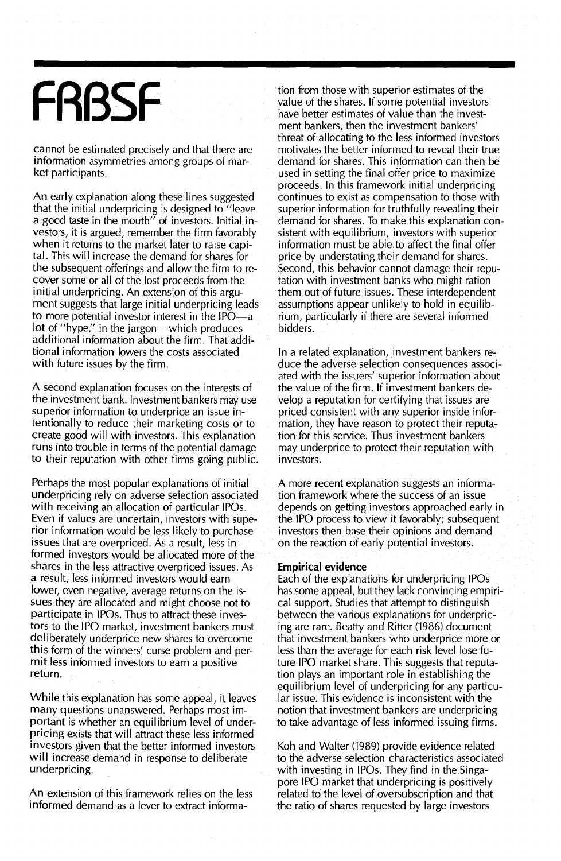# **FRBSF**

cannot be estimated precisely and that there are information asymmetries among groups of market participants.

An early explanation along these lines suggested that the initial underpricing is designed to "leave a good taste in the mouth" of investors. Initial investors, it is argued, remember the firm favorably when it returns to the market later to raise capital. This will increase the demand for shares for the subsequent offerings and allow the firm to recover some or all of the lost proceeds from the initial underpricing. An extension of this argument suggests that large initial underpricing leads to more potential investor interest in the IPO-a lot of "hype," in the jargon-which produces additional information about the firm. That additional information lowers the costs associated with future issues by the firm.

A second explanation focuses on the interests of the investment bank. Investment bankers may use superior information to underprice an issue intentionally to reduce their marketing costs or to create good will with investors. This explanation runs into trouble in terms of the potential damage to their reputation with other firms going public.

Perhaps the most popular explanations of initial underpricing rely on adverse selection associated with receiving an allocation of particular IPOs. Even if values are uncertain, investors with superior information would be less likely to purchase issues that are overpriced. As a result, less informed investors would be allocated more of the shares in the less attractive overpriced issues. As a result, less informed investors would earn lower, even negative, average returns on the issues they are allocated and might choose not to participate in IPOs. Thus to attract these investors to the IPO market, investment bankers must deliberately underprice new shares to overcome this form of the winners' curse problem and permit less informed investors to earn a positive return.

While this explanation has some appeal, it leaves many questions unanswered. Perhaps most important is whether an equilibrium level of underpricing exists that will attract these less informed investors given that the better informed investors will increase demand in response to deliberate underpricing.

An extension of this framework relies on the less informed demand as a lever to extract information from those with superior estimates of the value of the shares. If some potential investors have better estimates of value than the investment bankers, then the investment bankers' threat of allocating to the less informed investors motivates the better informed to reveal their true demand for shares. This information can then be used in setting the final offer price to maximize proceeds. In this framework initial underpricing continues to exist as compensation to those with superior information for truthfully revealing their demand for shares. To make this explanation consistent with equilibrium, investors with superior information must be able to affect the final offer price by understating their demand for shares. Second, this behavior cannot damage their reputation with investment banks who might ration them out of future issues. These interdependent assumptions appear unlikely to hold in equilibrium, particularly if there are several informed bidders.

In a related explanation, investment bankers reduce the adverse selection consequences associated with the issuers' superior information about the value of the firm. If investment bankers develop a reputation for certifying that issues are priced consistent with any superior inside information, they have reason to protect their reputation for this service. Thus investment bankers may underprice to protect their reputation with investors.

A more recent explanation suggests an information framework where the success of an issue depends on getting investors approached early in the IPO process to view it favorably; subsequent investors then base their opinions and demand on the reaction of early potential investors.

#### **Empirical evidence**

Each of the explanations for underpricing IPOs has some appeal, but they lack convincing empirical support. Studies that attempt to distinguish between the various explanations for underpricing are rare. Beatty and Ritter (1986) document that investment bankers who underprice more or less than the average for each risk level lose future IPO market share. This suggests that reputation plays an important role in establishing the equilibrium level of underpricing for any particular issue. This evidence is inconsistent with the notion that investment bankers are underpricing to take advantage of less informed issuing firms.

Koh and Walter (1989) provide evidence related to the adverse selection characteristics associated with investing in IPOs. They find in the Singapore IPO market that underpricing is positively related to the level of oversubscription and that the ratio of shares requested by large investors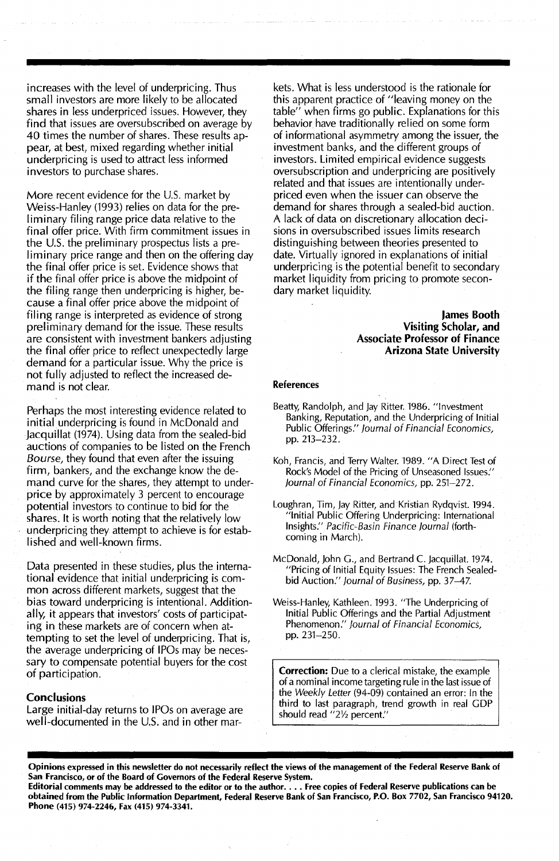increases with the level of underpricing. Thus small investors are more likely to be allocated shares in less underpriced issues. However, they find that issues are oversubscribed on average by 40 times the number of shares. These results appear, at best, mixed regarding whether initial underpricing is used to attract less informed investors to purchase shares.

More recent evidence for the U.S. market by Weiss-Hanley (1993) relies on data for the preliminary filing range price data relative to the final offer price. With firm commitment issues in the U.S. the preliminary prospectus lists a preliminary price range and then on the offering day the final offer price is set. Evidence shows that if the final offer price is above the midpoint of the filing range then underpricing is higher, because a final offer price above the midpoint of filing range is interpreted as evidence of strong preliminary demand for the issue. These results are consistent with investment bankers adjusting the final offer price to reflect unexpectedly large demand for a particular issue. Why the price is not fully adjusted to reflect the increased demand is not clear.

Perhaps the most interesting evidence related to initial underpricing is found in McDonald and Jacquillat (1974). Using data from the sealed-bid auctions of companies to be listed on the French *Bourse,* they found that even after the issuing firm, bankers, and the exchange know the demand curve for the shares, they attempt to underprice by approximately 3 percent to encourage potential investors to continue to bid for the shares. It is worth noting that the relatively low underpricing they attempt to achieve is for established and well-known firms.

Data presented in these studies, plus the international evidence that initial underpricing is common across different markets, suggest that the bias toward underpricing is intentional. Additionally, it appears that investors' costs of participating in these markets are of concern when attempting to set the level of underpricing. That is, the average underpricing of IPOs may be necessary to compensate potential buyers for the cost of participation.

#### **Conclusions**

Large initial-day returns to IPOs on average are well-documented in the U.S. and in other mar-

kets. What is less understood is the rationale for this apparent practice of "leaving money on the table" when firms go public. Explanations for this behavior have traditionally relied on some form of informational asymmetry among the issuer, the investment banks, and the different groups of investors. Limited empirical evidence suggests oversubscription and underpricing are positively related and that issues are intentionally underpriced even when the issuer can observe the demand for shares through a sealed-bid auction. A lack of data on discretionary allocation decisions in oversubscribed issues limits research distinguishing between theories presented to date. Virtually ignored in explanations of initial underpricing is the potential benefit to secondary market liquidity from pricing to promote secondary market liquidity.

> James Booth Visiting Scholar, and Associate Professor of Finance Arizona State University

#### References

- Beatty, Randolph, and Jay Ritter. 1986. "Investment Banking, Reputation, and the Underpricing of Initial Public Offerings:' journal of Financial Economics, pp.213-232.
- Koh, Francis, and Terry Walter. 1989. "A Direct Test of Rock's Model of the Pricing of Unseasoned Issues:' journal of Financial Economics, pp. 251-272.
- Loughran, Tim, Jay Ritter, and Kristian Rydqvist. 1994. "Initial Public Offering Underpricing: International Insights." Pacific-Basin Finance journal (forthcoming in March).
- McDonald, John G., and Bertrand C. Jacquiliat. 1974. "Pricing of Initial Equity Issues: The French Sealedbid Auction." journal of Business, pp. 37-47.
- Weiss-Hanley, Kathleen. 1993. "The Underpricing of Initial Public Offerings and the Partial Adjustment Phenomenon." Journal of Financial Economics, pp. 231-250.

Correction: Due to a clerical mistake, the example of a nominal income targeting rule in the last issue of the *Weekly Letter* (94-09) contained an error: In the third to last paragraph, trend growth in real GDP should read "21/2 percent."

Opinions expressed in this newsletter do not necessarily reflect the views of the management of the Federal Reserve Bank of San Francisco, or of the Board of Governors of the Federal Reserve System.

Editorial comments may be addressed to the editor or to the author.... Free copies of Federal Reserve publications can be obtained from the Public Information Department, Federal Reserve Bank of San Francisco, P.O. Box 7702, San Francisco 94120. Phone (415) 974-2246, Fax (415) 974-3341.